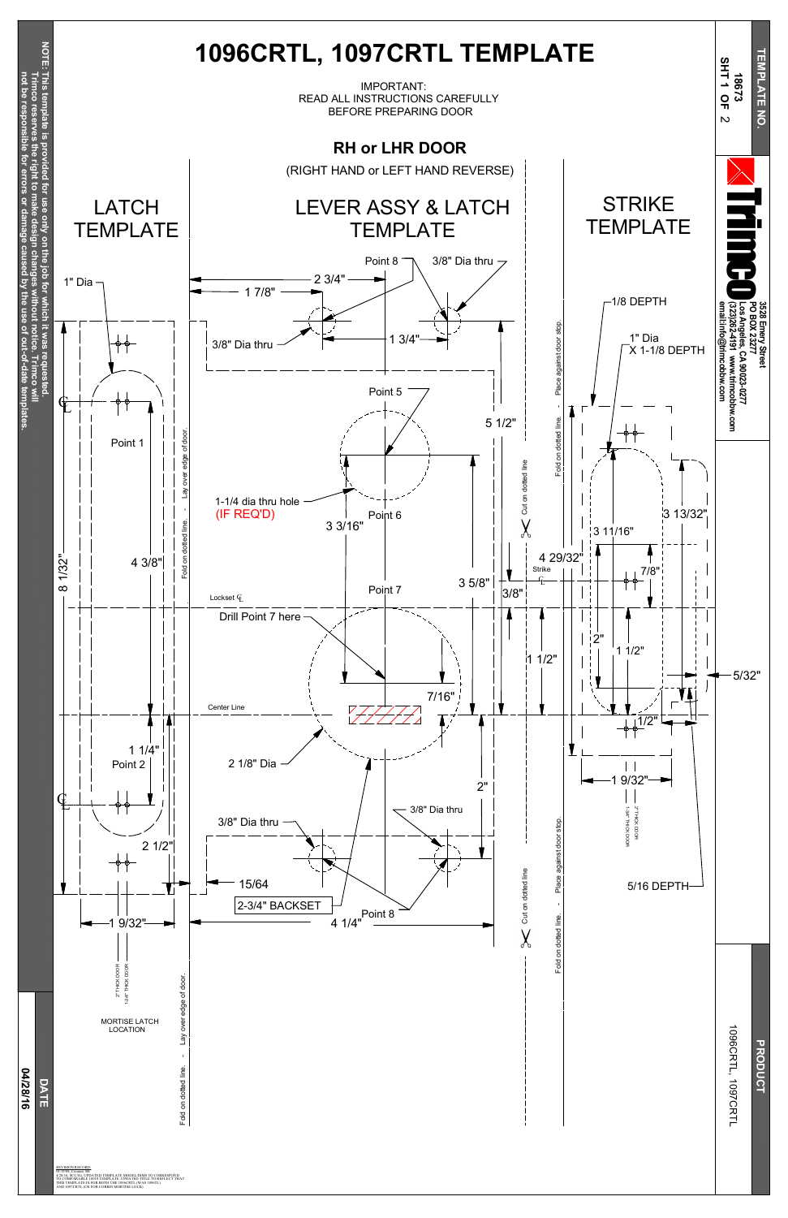